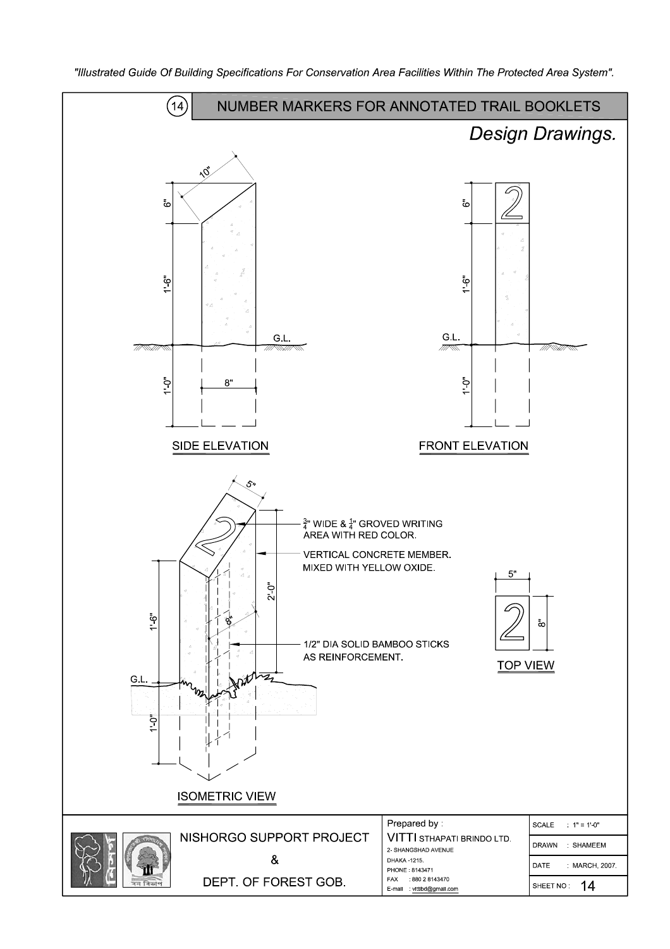

"Illustrated Guide Of Building Specifications For Conservation Area Facilities Within The Protected Area System".